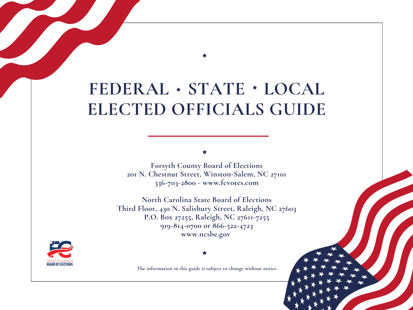# **FEDERAL STATE LOCAL ELECTED OFFICIALS GUIDE**

**Forsyth County Board of Elections 201 N. Chestnut Street, Winston-Salem, NC 27101 336-703-2800 - www.fcvotes.com**

**North Carolina State Board of Elections Third Floor, 430 N. Salisbury Street, Raleigh, NC 27603 P.O. Box 27255, Raleigh, NC 27611-7255 919-814-0700 or 866-522-4723 www.ncsbe.gov**



**The information in this guide is subject to change without notice**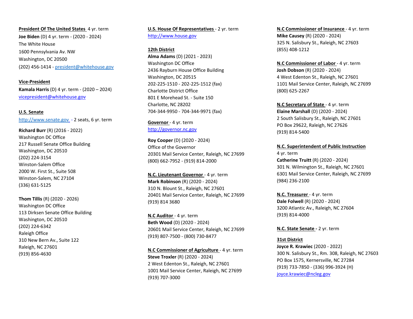**President Of The United States 4 yr. term Joe Biden** (D) 4 yr. term ‐ (2020 ‐ 2024) The White House 1600 Pennsylvania Av. NW Washington, DC 20500 (202) 456‐1414 ‐ president@whitehouse.gov

**Vice‐President Kamala Harris** (D) 4 yr. term ‐ (2020 – 2024) vicepresident@whitehouse.gov

**U.S. Senate**  http://www.senate.gov ‐ 2 seats, 6 yr. term

**Richard Burr** (R) (2016 ‐ 2022) Washington DC Office 217 Russell Senate Office Building Washington, DC 20510 (202) 224‐3154 Winston‐Salem Office 2000 W. First St., Suite 508 Winston‐Salem, NC 27104 (336) 631‐5125

**Thom Tillis** (R) (2020 ‐ 2026) Washington DC Office 113 Dirksen Senate Office Building Washington, DC 20510 (202) 224‐6342 Raleigh Office 310 New Bern Av., Suite 122 Raleigh, NC 27601 (919) 856‐4630

**U.S. House Of Representatives** ‐ 2 yr. term http://www.house.gov

**12th District**

**Alma Adams** (D) (2021 ‐ 2023) Washington DC Office 2436 Rayburn House Office Building Washington, DC 20515 202‐225‐1510 ‐ 202‐225‐1512 (fax) Charlotte District Office 801 E Morehead St. ‐ Suite 150 Charlotte, NC 28202 704‐344‐9950 ‐ 704‐344‐9971 (fax)

**Governor** ‐ 4 yr. term http://governor.nc.gov

**Roy Cooper** (D) (2020 ‐ 2024) Office of the Governor 20301 Mail Service Center, Raleigh, NC 27699 (800) 662‐7952 ‐ (919) 814‐2000

**N.C. Lieutenant Governor** ‐ 4 yr. term **Mark Robinson** (R) (2020 ‐ 2024) 310 N. Blount St., Raleigh, NC 27601 20401 Mail Service Center, Raleigh, NC 27699 (919) 814 3680

**N.C Auditor** ‐ 4 yr. term **Beth Wood** (D) (2020 ‐ 2024) 20601 Mail Service Center, Raleigh, NC 27699 (919) 807‐7500 ‐ (800) 730‐8477

**N.C Commissioner of Agriculture** ‐ 4 yr. term **Steve Troxler** (R) (2020 ‐ 2024) 2 West Edenton St., Raleigh, NC 27601 1001 Mail Service Center, Raleigh, NC 27699 (919) 707‐3000

**N.C Commissioner of Insurance** ‐ 4 yr. term **Mike Causey** (R) (2020 ‐ 2024) 325 N. Salisbury St., Raleigh, NC 27603 (855) 408‐1212

**N.C Commissioner of Labor** ‐ 4 yr. term **Josh Dobson** (R) (2020 ‐ 2024) 4 West Edenton St., Raleigh, NC 27601 1101 Mail Service Center, Raleigh, NC 27699 (800) 625‐2267

**N.C Secretary of State** ‐ 4 yr. term **Elaine Marshall** (D) (2020 ‐ 2024) 2 South Salisbury St., Raleigh, NC 27601 PO Box 29622, Raleigh, NC 27626 (919) 814‐5400

**N.C. Superintendent of Public Instruction** 4 yr. term **Catherine Truitt** (R) (2020 ‐ 2024) 301 N. Wilmington St., Raleigh, NC 27601 6301 Mail Service Center, Raleigh, NC 27699 (984) 236‐2100

**N.C. Treasurer** ‐ 4 yr. term **Dale Folwell** (R) (2020 ‐ 2024) 3200 Atlantic Av., Raleigh, NC 27604 (919) 814‐4000

**N.C. State Senate ‐** 2 yr. term

**31st District Joyce R. Krawiec** (2020 ‐ 2022)

300 N. Salisbury St., Rm. 308, Raleigh, NC 27603 PO Box 1575, Kernersville, NC 27284 (919) 733‐7850 ‐ (336) 996‐3924 (H) joyce.krawiec@ncleg.gov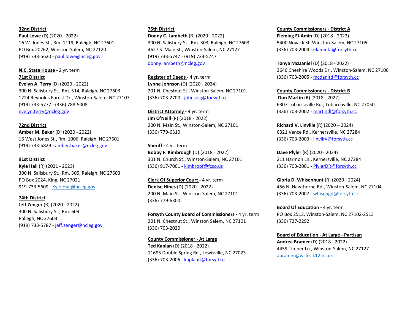#### **32nd District**

**Paul Lowe** (D) (2020 ‐ 2022) 16 W. Jones St., Rm. 1119, Raleigh, NC 27601 PO Box 20262, Winston‐Salem, NC 27120 (919) 733‐5620 ‐ paul.lowe@ncleg.gov

## **N.C. State House ‐** 2 yr. term

**71st District**

**Evelyn A. Terry** (D) (2020 ‐ 2022) 300 N. Salisbury St., Rm. 514, Raleigh, NC 27603 1224 Reynolds Forest Dr., Winston‐Salem, NC 27107 (919) 733‐5777 ‐ (336) 788‐5008 evelyn.terry@ncleg.gov

**72nd District Amber M. Baker** (D) (2020 ‐ 2022) 16 West Jones St., Rm. 1006, Raleigh, NC 27601 (919) 733‐5829 ‐ amber.baker@ncleg.gov

### **91st District**

**Kyle Hall** (R) (2021 ‐ 2023) 300 N. Salisbury St., Rm. 305, Raleigh, NC 27603 PO Box 2024, King, NC 27021 919‐733‐5609 ‐ Kyle.Hall@ncleg.gov

#### **74th District**

**Jeff Zenger** (R) (2020 ‐ 2022) 300 N. Salisbury St., Rm. 609 Raliegh, NC 27603 (919) 733‐5787 ‐ jeff.zenger@ncleg.gov

#### **75th District**

**Donny C. Lambeth** (R) (2020 ‐ 2022) 300 N. Salisbury St., Rm. 303, Raleigh, NC 27603 4627 S. Main St., Winston‐Salem, NC 27127 (919) 733‐5747 ‐ (919) 733‐5747 donny.lambeth@ncleg.gov

**Register of Deeds - 4 yr. term Lynne Johnson** (D) (2020 ‐ 2024) 201 N. Chestnut St., Winston‐Salem, NC 27101 (336) 703‐2700 ‐ johnsolg@forsyth.cc

**District Attorney - 4 yr. term Jim O'Neill** (R) (2018 ‐ 2022) 200 N. Main St., Winston‐Salem, NC 27101 (336) 779‐6310

**Sheriff ‐** 4 yr. term **Bobby F. Kimbrough** (D) (2018 ‐ 2022) 301 N. Church St., Winston‐Salem, NC 27101 (336) 917‐7001 ‐ kimbrobf@fcso.us

**Clerk Of Superior Court - 4 yr. term Denise Hines** (D) (2020 ‐ 2022) 200 N. Main St., Winston‐Salem, NC 27101 (336) 779‐6300

**Forsyth County Board of Commissioners - 4 yr. term** 201 N. Chestnut St., Winston Salem, NC 27101 (336) 703‐2020

**County Commissioner ‐ At Large Ted Kaplan** (D) (2018 ‐ 2022) 11695 Double Spring Rd., Lewisville, NC 27023 (336) 703‐2006 ‐ kaplanit@forsyth.cc

**County Commissioners ‐ District A Fleming El‐Amin** (D) (2018 ‐ 2022) 5400 Novack St, Winston‐Salem, NC 27105

(336) 703‐2004 ‐ elaminfa@forsyth.cc

**Tonya McDaniel** (D) (2018 ‐ 2022) 3640 Cheshire Woods Dr., Winston‐Salem, NC 27106

(336) 703‐2005 ‐ mcdanitd@forsyth.cc

**County Commissioners ‐ District B Don Martin** (R) (2018 ‐ 2022) 6307 Tobaccoville Rd., Tobaccoville, NC 27050 (336) 703‐2002 ‐ martindl@forsyth.cc

**Richard V. Linville** (R) (2020 – 2024) 6321 Vance Rd., Kernersville, NC 27284 (336) 703‐2003 ‐ linvilrv@forsyth.cc

**Dave Plyler** (R) (2020 ‐ 2024) 211 Harmon Ln., Kernersville, NC 27284 (336) 703‐2001 ‐ PlylerDR@forsyth.cc

**Gloria D. Whisenhunt** (R) (2020 ‐ 2024) 456 N. Hawthorne Rd., Winston‐Salem, NC 27104 (336) 703‐2007 ‐ whisengd@forsyth.cc

**Board Of Education - 4 yr. term** PO Box 2513, Winston‐Salem, NC 27102‐2513 (336) 727‐2292

**Board of Education ‐ At Large ‐ Partisan Andrea Bramer** (D) (2018 ‐ 2022) 4459 Timber Ln., Winston‐Salem, NC 27127 abramer@wsfcs.k12.nc.us